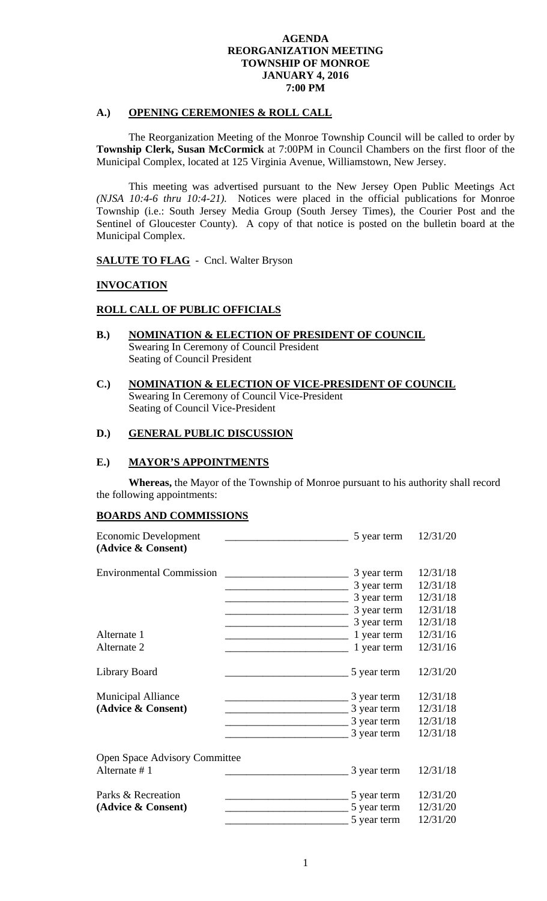## **A.) OPENING CEREMONIES & ROLL CALL**

 The Reorganization Meeting of the Monroe Township Council will be called to order by **Township Clerk, Susan McCormick** at 7:00PM in Council Chambers on the first floor of the Municipal Complex, located at 125 Virginia Avenue, Williamstown, New Jersey.

 This meeting was advertised pursuant to the New Jersey Open Public Meetings Act *(NJSA 10:4-6 thru 10:4-21).* Notices were placed in the official publications for Monroe Township (i.e.: South Jersey Media Group (South Jersey Times), the Courier Post and the Sentinel of Gloucester County). A copy of that notice is posted on the bulletin board at the Municipal Complex.

**SALUTE TO FLAG** - Cncl. Walter Bryson

#### **INVOCATION**

# **ROLL CALL OF PUBLIC OFFICIALS**

- **B.) NOMINATION & ELECTION OF PRESIDENT OF COUNCIL**  Swearing In Ceremony of Council President Seating of Council President
- **C.) NOMINATION & ELECTION OF VICE-PRESIDENT OF COUNCIL**  Swearing In Ceremony of Council Vice-President Seating of Council Vice-President

# **D.) GENERAL PUBLIC DISCUSSION**

#### **E.) MAYOR'S APPOINTMENTS**

**Whereas,** the Mayor of the Township of Monroe pursuant to his authority shall record the following appointments:

#### **BOARDS AND COMMISSIONS**

| Economic Development<br>(Advice & Consent) | 5 year term | 12/31/20 |
|--------------------------------------------|-------------|----------|
| <b>Environmental Commission</b>            | 3 year term | 12/31/18 |
|                                            | 3 year term | 12/31/18 |
|                                            | 3 year term | 12/31/18 |
|                                            | 3 year term | 12/31/18 |
|                                            | 3 year term | 12/31/18 |
| Alternate 1                                | 1 year term | 12/31/16 |
| Alternate 2                                | 1 year term | 12/31/16 |
| Library Board                              | 5 year term | 12/31/20 |
| <b>Municipal Alliance</b>                  | 3 year term | 12/31/18 |
| (Advice & Consent)                         | 3 year term | 12/31/18 |
|                                            | 3 year term | 12/31/18 |
|                                            | 3 year term | 12/31/18 |
| <b>Open Space Advisory Committee</b>       |             |          |
| Alternate #1                               | 3 year term | 12/31/18 |
| Parks & Recreation                         | 5 year term | 12/31/20 |
| (Advice & Consent)                         | 5 year term | 12/31/20 |
|                                            | 5 year term | 12/31/20 |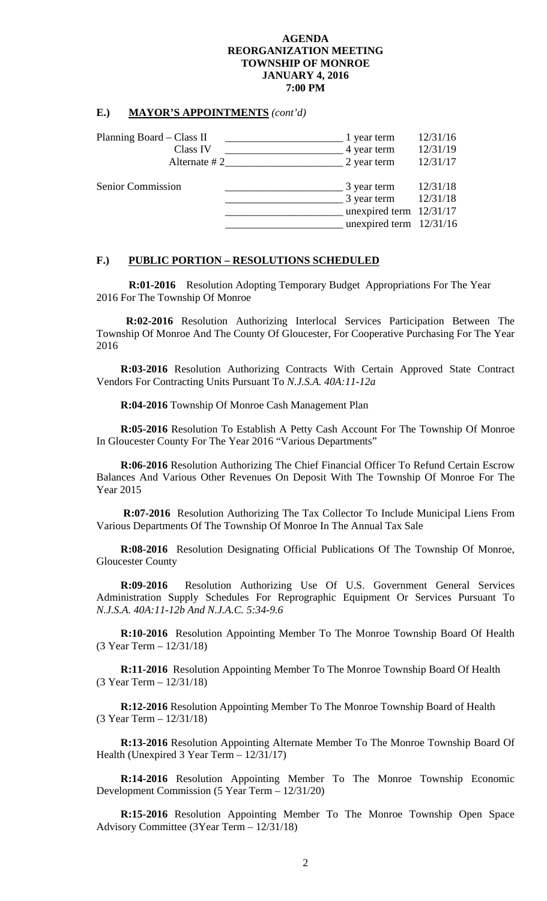#### **E.) MAYOR'S APPOINTMENTS** *(cont'd)*

| Planning Board – Class II | 1 year term                                                                          | 12/31/16             |
|---------------------------|--------------------------------------------------------------------------------------|----------------------|
| Class IV                  | 4 year term                                                                          | 12/31/19             |
| Alternate $#2_$           | 2 year term                                                                          | 12/31/17             |
| Senior Commission         | 3 year term<br>3 year term<br>unexpired term $12/31/17$<br>unexpired term $12/31/16$ | 12/31/18<br>12/31/18 |

#### **F.) PUBLIC PORTION – RESOLUTIONS SCHEDULED**

**R:01-2016** Resolution Adopting Temporary Budget Appropriations For The Year 2016 For The Township Of Monroe

 **R:02-2016** Resolution Authorizing Interlocal Services Participation Between The Township Of Monroe And The County Of Gloucester, For Cooperative Purchasing For The Year 2016

**R:03-2016** Resolution Authorizing Contracts With Certain Approved State Contract Vendors For Contracting Units Pursuant To *N.J.S.A. 40A:11-12a* 

**R:04-2016** Township Of Monroe Cash Management Plan

**R:05-2016** Resolution To Establish A Petty Cash Account For The Township Of Monroe In Gloucester County For The Year 2016 "Various Departments"

**R:06-2016** Resolution Authorizing The Chief Financial Officer To Refund Certain Escrow Balances And Various Other Revenues On Deposit With The Township Of Monroe For The Year 2015

 **R:07-2016** Resolution Authorizing The Tax Collector To Include Municipal Liens From Various Departments Of The Township Of Monroe In The Annual Tax Sale

**R:08-2016** Resolution Designating Official Publications Of The Township Of Monroe, Gloucester County

**R:09-2016** Resolution Authorizing Use Of U.S. Government General Services Administration Supply Schedules For Reprographic Equipment Or Services Pursuant To *N.J.S.A. 40A:11-12b And N.J.A.C. 5:34-9.6* 

**R:10-2016** Resolution Appointing Member To The Monroe Township Board Of Health (3 Year Term – 12/31/18)

**R:11-2016** Resolution Appointing Member To The Monroe Township Board Of Health (3 Year Term – 12/31/18)

**R:12-2016** Resolution Appointing Member To The Monroe Township Board of Health (3 Year Term – 12/31/18)

**R:13-2016** Resolution Appointing Alternate Member To The Monroe Township Board Of Health (Unexpired 3 Year Term – 12/31/17)

**R:14-2016** Resolution Appointing Member To The Monroe Township Economic Development Commission (5 Year Term – 12/31/20)

**R:15-2016** Resolution Appointing Member To The Monroe Township Open Space Advisory Committee (3Year Term – 12/31/18)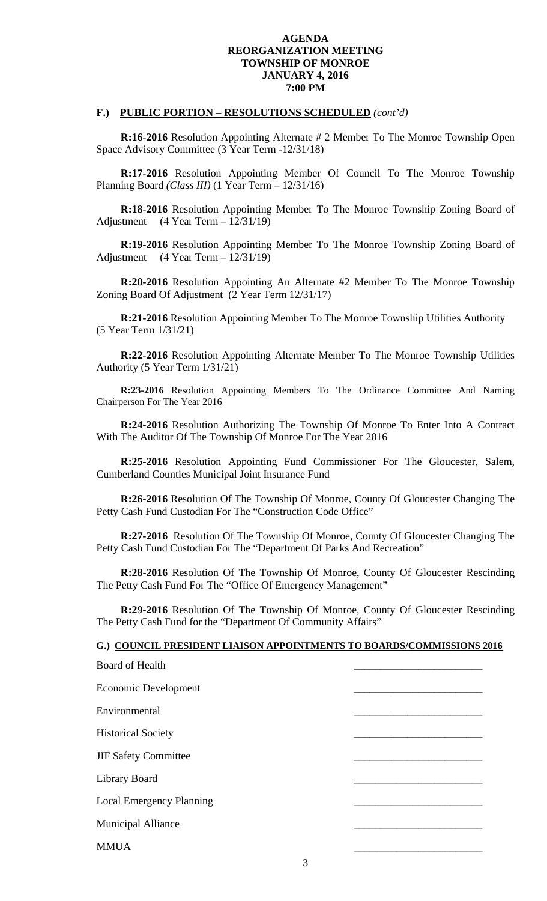#### **F.) PUBLIC PORTION – RESOLUTIONS SCHEDULED** *(cont'd)*

**R:16-2016** Resolution Appointing Alternate # 2 Member To The Monroe Township Open Space Advisory Committee (3 Year Term -12/31/18)

**R:17-2016** Resolution Appointing Member Of Council To The Monroe Township Planning Board *(Class III)* (1 Year Term – 12/31/16)

**R:18-2016** Resolution Appointing Member To The Monroe Township Zoning Board of Adjustment (4 Year Term – 12/31/19)

**R:19-2016** Resolution Appointing Member To The Monroe Township Zoning Board of Adjustment (4 Year Term – 12/31/19)

**R:20-2016** Resolution Appointing An Alternate #2 Member To The Monroe Township Zoning Board Of Adjustment (2 Year Term 12/31/17)

**R:21-2016** Resolution Appointing Member To The Monroe Township Utilities Authority (5 Year Term 1/31/21)

**R:22-2016** Resolution Appointing Alternate Member To The Monroe Township Utilities Authority (5 Year Term 1/31/21)

**R:23-2016** Resolution Appointing Members To The Ordinance Committee And Naming Chairperson For The Year 2016

**R:24-2016** Resolution Authorizing The Township Of Monroe To Enter Into A Contract With The Auditor Of The Township Of Monroe For The Year 2016

**R:25-2016** Resolution Appointing Fund Commissioner For The Gloucester, Salem, Cumberland Counties Municipal Joint Insurance Fund

**R:26-2016** Resolution Of The Township Of Monroe, County Of Gloucester Changing The Petty Cash Fund Custodian For The "Construction Code Office"

**R:27-2016** Resolution Of The Township Of Monroe, County Of Gloucester Changing The Petty Cash Fund Custodian For The "Department Of Parks And Recreation"

**R:28-2016** Resolution Of The Township Of Monroe, County Of Gloucester Rescinding The Petty Cash Fund For The "Office Of Emergency Management"

**R:29-2016** Resolution Of The Township Of Monroe, County Of Gloucester Rescinding The Petty Cash Fund for the "Department Of Community Affairs"

| G.) COUNCIL PRESIDENT LIAISON APPOINTMENTS TO BOARDS/COMMISSIONS 2016 |  |
|-----------------------------------------------------------------------|--|
| Board of Health                                                       |  |
| Economic Development                                                  |  |
| Environmental                                                         |  |
| <b>Historical Society</b>                                             |  |
| <b>JIF Safety Committee</b>                                           |  |
| Library Board                                                         |  |
| <b>Local Emergency Planning</b>                                       |  |
| <b>Municipal Alliance</b>                                             |  |
| <b>MMUA</b>                                                           |  |
| 3                                                                     |  |